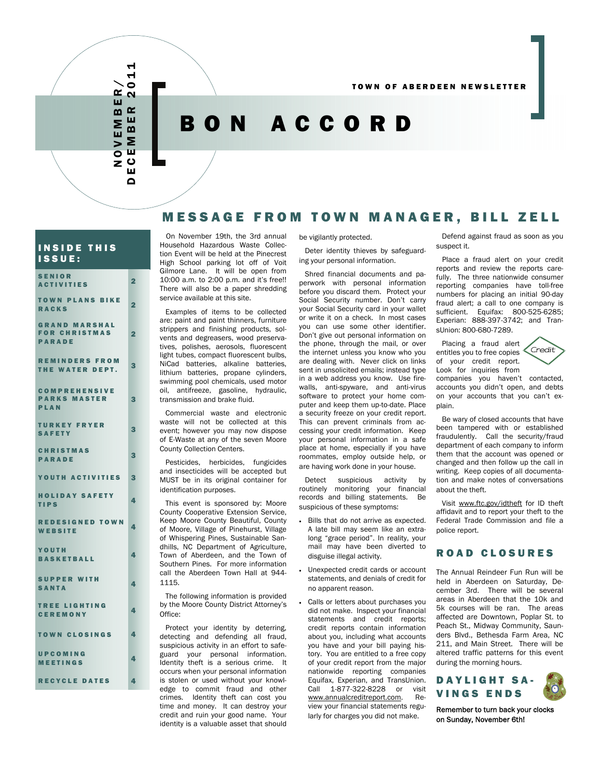# BON ACCORD

# MESSAGE FROM TOWN MANAGER, BILL ZELL

### INSIDE THIS ISSUE:

NOVEMBER/ DECEMBER 2011

OVEMBER  $\sim$ ш  $\mathbf{a}$ Σ 靣  $\bullet$ Z Ш  $\Omega$ 

ᆏ  $\blacktriangleleft$  $\bullet$ 

| <b>SENIOR</b><br><b>ACTIVITIES</b>                            | $\overline{2}$ |
|---------------------------------------------------------------|----------------|
| <b>TOWN PLANS BIKE</b><br><b>RACKS</b>                        | 2              |
| <b>GRAND MARSHAL</b><br><b>FOR CHRISTMAS</b><br><b>PARADE</b> | $\overline{2}$ |
| <b>REMINDERS FROM</b><br>THE WATER DEPT.                      | 3              |
| <b>COMPREHENSIVE</b><br><b>PARKS MASTER</b><br>PLAN           | 3              |
| <b>TURKEY FRYER</b><br><b>SAFETY</b>                          | 3              |
| <b>CHRISTMAS</b><br><b>PARADE</b>                             | З              |
| YOUTH ACTIVITIES                                              | 3              |
| <b>HOLIDAY SAFETY</b><br><b>TIPS</b>                          | 4              |
| <b>REDESIGNED TOWN</b><br>WEBSITE                             | 4              |
| YOUTH<br><b>BASKETBALL</b>                                    | 4              |
| <b>SUPPER WITH</b><br><b>SANTA</b>                            | 4              |
| <b>TREE LIGHTING</b><br><b>CEREMONY</b>                       | 4              |
| <b>TOWN CLOSINGS</b>                                          | 4              |
| UPCOMING<br><b>MEETINGS</b>                                   | 4              |
| <b>RECYCLE DATES</b>                                          | 4              |

 On November 19th, the 3rd annual Household Hazardous Waste Collection Event will be held at the Pinecrest High School parking lot off of Voit Gilmore Lane. It will be open from 10:00 a.m. to 2:00 p.m. and it's free!! There will also be a paper shredding service available at this site.

 Examples of items to be collected are: paint and paint thinners, furniture strippers and finishing products, solvents and degreasers, wood preservatives, polishes, aerosols, fluorescent light tubes, compact fluorescent bulbs, NiCad batteries, alkaline batteries, lithium batteries, propane cylinders, swimming pool chemicals, used motor oil, antifreeze, gasoline, hydraulic, transmission and brake fluid.

 Commercial waste and electronic waste will not be collected at this event; however you may now dispose of E-Waste at any of the seven Moore County Collection Centers.

 Pesticides, herbicides, fungicides and insecticides will be accepted but MUST be in its original container for identification purposes.

 This event is sponsored by: Moore County Cooperative Extension Service, Keep Moore County Beautiful, County of Moore, Village of Pinehurst, Village of Whispering Pines, Sustainable Sandhills, NC Department of Agriculture, Town of Aberdeen, and the Town of Southern Pines. For more information call the Aberdeen Town Hall at 944- 1115.

 The following information is provided by the Moore County District Attorney's Office:

 Protect your identity by deterring, detecting and defending all fraud, suspicious activity in an effort to safeguard your personal information. Identity theft is a serious crime. It occurs when your personal information is stolen or used without your knowledge to commit fraud and other crimes. Identity theft can cost you time and money. It can destroy your credit and ruin your good name. Your identity is a valuable asset that should

be vigilantly protected.

 Deter identity thieves by safeguarding your personal information.

 Shred financial documents and paperwork with personal information before you discard them. Protect your Social Security number. Don't carry your Social Security card in your wallet or write it on a check. In most cases you can use some other identifier. Don't give out personal information on the phone, through the mail, or over the internet unless you know who you are dealing with. Never click on links sent in unsolicited emails; instead type in a web address you know. Use firewalls, anti-spyware, and anti-virus software to protect your home computer and keep them up-to-date. Place a security freeze on your credit report. This can prevent criminals from accessing your credit information. Keep your personal information in a safe place at home, especially if you have roommates, employ outside help, or are having work done in your house.

 Detect suspicious activity by routinely monitoring your financial records and billing statements. Be suspicious of these symptoms:

- Bills that do not arrive as expected. A late bill may seem like an extralong "grace period". In reality, your mail may have been diverted to disguise illegal activity.
- Unexpected credit cards or account statements, and denials of credit for no apparent reason.
- Calls or letters about purchases you did not make. Inspect your financial statements and credit reports; credit reports contain information about you, including what accounts you have and your bill paying history. You are entitled to a free copy of your credit report from the major nationwide reporting companies Equifax, Experian, and TransUnion. Call 1-877-322-8228 or visit www.annualcreditreport.com. Review your financial statements regularly for charges you did not make.

 Defend against fraud as soon as you suspect it.

 Place a fraud alert on your credit reports and review the reports carefully. The three nationwide consumer reporting companies have toll-free numbers for placing an initial 90-day fraud alert; a call to one company is sufficient. Equifax: 800-525-6285; Experian: 888-397-3742; and TransUnion: 800-680-7289.

 Placing a fraud alert entitles you to free copies of your credit report. Look for inquiries from

≤⊂redit`

companies you haven't contacted, accounts you didn't open, and debts on your accounts that you can't explain.

 Be wary of closed accounts that have been tampered with or established fraudulently. Call the security/fraud department of each company to inform them that the account was opened or changed and then follow up the call in writing. Keep copies of all documentation and make notes of conversations about the theft.

 Visit www.ftc.gov/idtheft for ID theft affidavit and to report your theft to the Federal Trade Commission and file a police report.

### ROAD CLOSURES

The Annual Reindeer Fun Run will be held in Aberdeen on Saturday, December 3rd. There will be several areas in Aberdeen that the 10k and 5k courses will be ran. The areas affected are Downtown, Poplar St. to Peach St., Midway Community, Saunders Blvd., Bethesda Farm Area, NC 211, and Main Street. There will be altered traffic patterns for this event during the morning hours.

DAYLIGHT SA-VINGS ENDS

Remember to turn back your clocks on Sunday, November 6th!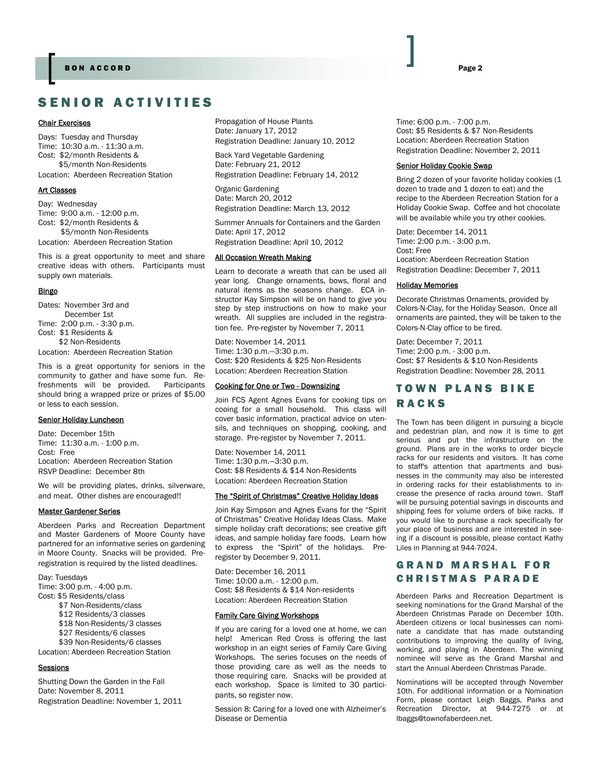# SENIOR ACTIVITIES

#### Chair Exercises

Days: Tuesday and Thursday Time: 10:30 a.m. - 11:30 a.m. Cost: \$2/month Residents & \$5/month Non-Residents

Location: Aberdeen Recreation Station

### Art Classes

Day: Wednesday Time: 9:00 a.m. - 12:00 p.m. Cost: \$2/month Residents & \$5/month Non-Residents Location: Aberdeen Recreation Station

This is a great opportunity to meet and share creative ideas with others. Participants must supply own materials.

#### Bingo

Dates: November 3rd and December 1st Time: 2:00 p.m. - 3:30 p.m. Cost: \$1 Residents & \$2 Non-Residents Location: Aberdeen Recreation Station

This is a great opportunity for seniors in the community to gather and have some fun. Refreshments will be provided. Participants should bring a wrapped prize or prizes of \$5.00 or less to each session.

#### Senior Holiday Luncheon

Date: December 15th Time: 11:30 a.m. - 1:00 p.m. Cost: Free Location: Aberdeen Recreation Station RSVP Deadline: December 8th

We will be providing plates, drinks, silverware, and meat. Other dishes are encouraged!!

#### Master Gardener Series

Aberdeen Parks and Recreation Department and Master Gardeners of Moore County have partnered for an informative series on gardening in Moore County. Snacks will be provided. Preregistration is required by the listed deadlines.

Day: Tuesdays Time: 3:00 p.m. - 4:00 p.m. Cost: \$5 Residents/class \$7 Non-Residents/class \$12 Residents/3 classes

\$18 Non-Residents/3 classes

- \$27 Residents/6 classes
- \$39 Non-Residents/6 classes

Location: Aberdeen Recreation Station

### Sessions

Shutting Down the Garden in the Fall Date: November 8, 2011 Registration Deadline: November 1, 2011 Propagation of House Plants Date: January 17, 2012 Registration Deadline: January 10, 2012

Back Yard Vegetable Gardening Date: February 21, 2012 Registration Deadline: February 14, 2012

Organic Gardening Date: March 20, 2012 Registration Deadline: March 13, 2012

Summer Annuals for Containers and the Garden Date: April 17, 2012 Registration Deadline: April 10, 2012

### All Occasion Wreath Making

Learn to decorate a wreath that can be used all year long. Change ornaments, bows, floral and natural items as the seasons change. ECA instructor Kay Simpson will be on hand to give you step by step instructions on how to make your wreath. All supplies are included in the registration fee. Pre-register by November 7, 2011

Date: November 14, 2011 Time: 1:30 p.m.—3:30 p.m. Cost: \$20 Residents & \$25 Non-Residents Location: Aberdeen Recreation Station

#### Cooking for One or Two - Downsizing

Join FCS Agent Agnes Evans for cooking tips on cooing for a small household. This class will cover basic information, practical advice on utensils, and techniques on shopping, cooking, and storage. Pre-register by November 7, 2011.

Date: November 14, 2011 Time: 1:30 p.m.—3:30 p.m. Cost: \$8 Residents & \$14 Non-Residents Location: Aberdeen Recreation Station

### The "Spirit of Christmas" Creative Holiday Ideas

Join Kay Simpson and Agnes Evans for the "Spirit of Christmas" Creative Holiday Ideas Class. Make simple holiday craft decorations; see creative gift ideas, and sample holiday fare foods. Learn how to express the "Spirit" of the holidays. Preregister by December 9, 2011.

Date: December 16, 2011 Time: 10:00 a.m. - 12:00 p.m. Cost: \$8 Residents & \$14 Non-residents Location: Aberdeen Recreation Station

#### Family Care Giving Workshops

If you are caring for a loved one at home, we can help! American Red Cross is offering the last workshop in an eight series of Family Care Giving Workshops. The series focuses on the needs of those providing care as well as the needs to those requiring care. Snacks will be provided at each workshop. Space is limited to 30 participants, so register now.

Session 8: Caring for a loved one with Alzheimer's Disease or Dementia

Time: 6:00 p.m. - 7:00 p.m. Cost: \$5 Residents & \$7 Non-Residents Location: Aberdeen Recreation Station Registration Deadline: November 2, 2011

### Senior Holiday Cookie Swap

Bring 2 dozen of your favorite holiday cookies (1 dozen to trade and 1 dozen to eat) and the recipe to the Aberdeen Recreation Station for a Holiday Cookie Swap. Coffee and hot chocolate will be available while you try other cookies.

Date: December 14, 2011 Time: 2:00 p.m. - 3:00 p.m. Cost: Free Location: Aberdeen Recreation Station Registration Deadline: December 7, 2011

#### Holiday Memories

Decorate Christmas Ornaments, provided by Colors-N-Clay, for the Holiday Season. Once all ornaments are painted, they will be taken to the Colors-N-Clay office to be fired.

Date: December 7, 2011 Time: 2:00 p.m. - 3:00 p.m. Cost: \$7 Residents & \$10 Non-Residents Registration Deadline: November 28, 2011

# TOWN PLANS BIKE RACKS

The Town has been diligent in pursuing a bicycle and pedestrian plan, and now it is time to get serious and put the infrastructure on the ground. Plans are in the works to order bicycle racks for our residents and visitors. It has come to staff's attention that apartments and businesses in the community may also be interested in ordering racks for their establishments to increase the presence of racks around town. Staff will be pursuing potential savings in discounts and shipping fees for volume orders of bike racks. If you would like to purchase a rack specifically for your place of business and are interested in seeing if a discount is possible, please contact Kathy Liles in Planning at 944-7024.

### GRAND MARSHAL FOR CHRISTMAS PARADE

Aberdeen Parks and Recreation Department is seeking nominations for the Grand Marshal of the Aberdeen Christmas Parade on December 10th. Aberdeen citizens or local businesses can nominate a candidate that has made outstanding contributions to improving the quality of living, working, and playing in Aberdeen. The winning nominee will serve as the Grand Marshal and start the Annual Aberdeen Christmas Parade.

Nominations will be accepted through November 10th. For additional information or a Nomination Form, please contact Leigh Baggs, Parks and Recreation Director, at 944-7275 or at lbaggs@townofaberdeen.net.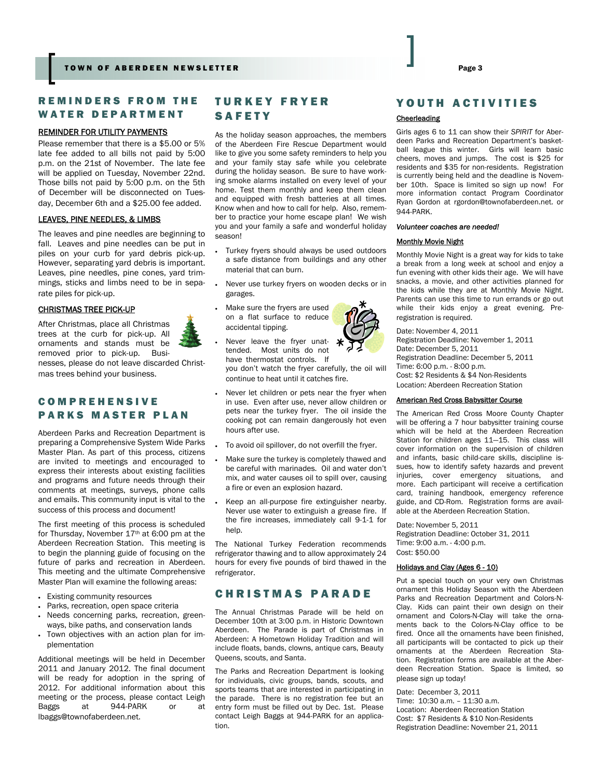### REMINDERS FROM THE WATER DEPARTMENT

### REMINDER FOR UTILITY PAYMENTS

Please remember that there is a \$5.00 or 5% late fee added to all bills not paid by 5:00 p.m. on the 21st of November. The late fee will be applied on Tuesday, November 22nd. Those bills not paid by 5:00 p.m. on the 5th of December will be disconnected on Tuesday, December 6th and a \$25.00 fee added.

### LEAVES, PINE NEEDLES, & LIMBS

The leaves and pine needles are beginning to fall. Leaves and pine needles can be put in piles on your curb for yard debris pick-up. However, separating yard debris is important. Leaves, pine needles, pine cones, yard trimmings, sticks and limbs need to be in separate piles for pick-up.

#### CHRISTMAS TREE PICK-UP

After Christmas, place all Christmas trees at the curb for pick-up. All ornaments and stands must be removed prior to pick-up. Busi-

nesses, please do not leave discarded Christmas trees behind your business.

### COMPREHENSIVE PARKS MASTER PLAN

Aberdeen Parks and Recreation Department is preparing a Comprehensive System Wide Parks Master Plan. As part of this process, citizens are invited to meetings and encouraged to express their interests about existing facilities and programs and future needs through their comments at meetings, surveys, phone calls and emails. This community input is vital to the success of this process and document!

The first meeting of this process is scheduled for Thursday, November 17th at 6:00 pm at the Aberdeen Recreation Station. This meeting is to begin the planning guide of focusing on the future of parks and recreation in Aberdeen. This meeting and the ultimate Comprehensive Master Plan will examine the following areas:

- Existing community resources
- Parks, recreation, open space criteria
- Needs concerning parks, recreation, greenways, bike paths, and conservation lands
- Town objectives with an action plan for implementation

Additional meetings will be held in December 2011 and January 2012. The final document will be ready for adoption in the spring of 2012. For additional information about this meeting or the process, please contact Leigh Baggs at 944-PARK or at lbaggs@townofaberdeen.net.

### TURKEY FRYER SAFETY

As the holiday season approaches, the members of the Aberdeen Fire Rescue Department would like to give you some safety reminders to help you and your family stay safe while you celebrate during the holiday season. Be sure to have working smoke alarms installed on every level of your home. Test them monthly and keep them clean and equipped with fresh batteries at all times. Know when and how to call for help. Also, remember to practice your home escape plan! We wish you and your family a safe and wonderful holiday season!

- Turkey fryers should always be used outdoors a safe distance from buildings and any other material that can burn.
- Never use turkey fryers on wooden decks or in garages.
	- Make sure the fryers are used on a flat surface to reduce accidental tipping.
	- Never leave the fryer unattended. Most units do not have thermostat controls. If you don't watch the fryer carefully, the oil will continue to heat until it catches fire.
- Never let children or pets near the fryer when in use. Even after use, never allow children or pets near the turkey fryer. The oil inside the cooking pot can remain dangerously hot even hours after use.
- To avoid oil spillover, do not overfill the fryer.
- Make sure the turkey is completely thawed and be careful with marinades. Oil and water don't mix, and water causes oil to spill over, causing a fire or even an explosion hazard.
- Keep an all-purpose fire extinguisher nearby. Never use water to extinguish a grease fire. If the fire increases, immediately call 9-1-1 for help

The National Turkey Federation recommends refrigerator thawing and to allow approximately 24 hours for every five pounds of bird thawed in the refrigerator.

### CHRISTMAS PARADE

The Annual Christmas Parade will be held on December 10th at 3:00 p.m. in Historic Downtown Aberdeen. The Parade is part of Christmas in Aberdeen: A Hometown Holiday Tradition and will include floats, bands, clowns, antique cars, Beauty Queens, scouts, and Santa.

The Parks and Recreation Department is looking for individuals, civic groups, bands, scouts, and sports teams that are interested in participating in the parade. There is no registration fee but an entry form must be filled out by Dec. 1st. Please contact Leigh Baggs at 944-PARK for an application.

### YOUTH ACTIVITIES

### **Cheerleading**

Girls ages 6 to 11 can show their *SPIRIT* for Aberdeen Parks and Recreation Department's basketball league this winter. Girls will learn basic cheers, moves and jumps. The cost is \$25 for residents and \$35 for non-residents. Registration is currently being held and the deadline is November 10th. Space is limited so sign up now! For more information contact Program Coordinator Ryan Gordon at rgordon@townofaberdeen.net. or 944-PARK.

#### *Volunteer coaches are needed!*

### Monthly Movie Night

Monthly Movie Night is a great way for kids to take a break from a long week at school and enjoy a fun evening with other kids their age. We will have snacks, a movie, and other activities planned for the kids while they are at Monthly Movie Night. Parents can use this time to run errands or go out while their kids enjoy a great evening. Preregistration is required.

Date: November 4, 2011 Registration Deadline: November 1, 2011 Date: December 5, 2011 Registration Deadline: December 5, 2011 Time: 6:00 p.m. - 8:00 p.m. Cost: \$2 Residents & \$4 Non-Residents Location: Aberdeen Recreation Station

### American Red Cross Babysitter Course

The American Red Cross Moore County Chapter will be offering a 7 hour babysitter training course which will be held at the Aberdeen Recreation Station for children ages 11—15. This class will cover information on the supervision of children and infants, basic child-care skills, discipline issues, how to identify safety hazards and prevent injuries, cover emergency situations, and more. Each participant will receive a certification card, training handbook, emergency reference guide, and CD-Rom. Registration forms are available at the Aberdeen Recreation Station.

Date: November 5, 2011 Registration Deadline: October 31, 2011 Time: 9:00 a.m. - 4:00 p.m. Cost: \$50.00

### Holidays and Clay (Ages 6 - 10)

Put a special touch on your very own Christmas ornament this Holiday Season with the Aberdeen Parks and Recreation Department and Colors-N-Clay. Kids can paint their own design on their ornament and Colors-N-Clay will take the ornaments back to the Colors-N-Clay office to be fired. Once all the ornaments have been finished, all participants will be contacted to pick up their ornaments at the Aberdeen Recreation Station. Registration forms are available at the Aberdeen Recreation Station. Space is limited, so please sign up today!

Date: December 3, 2011 Time: 10:30 a.m. – 11:30 a.m. Location: Aberdeen Recreation Station Cost: \$7 Residents & \$10 Non-Residents Registration Deadline: November 21, 2011